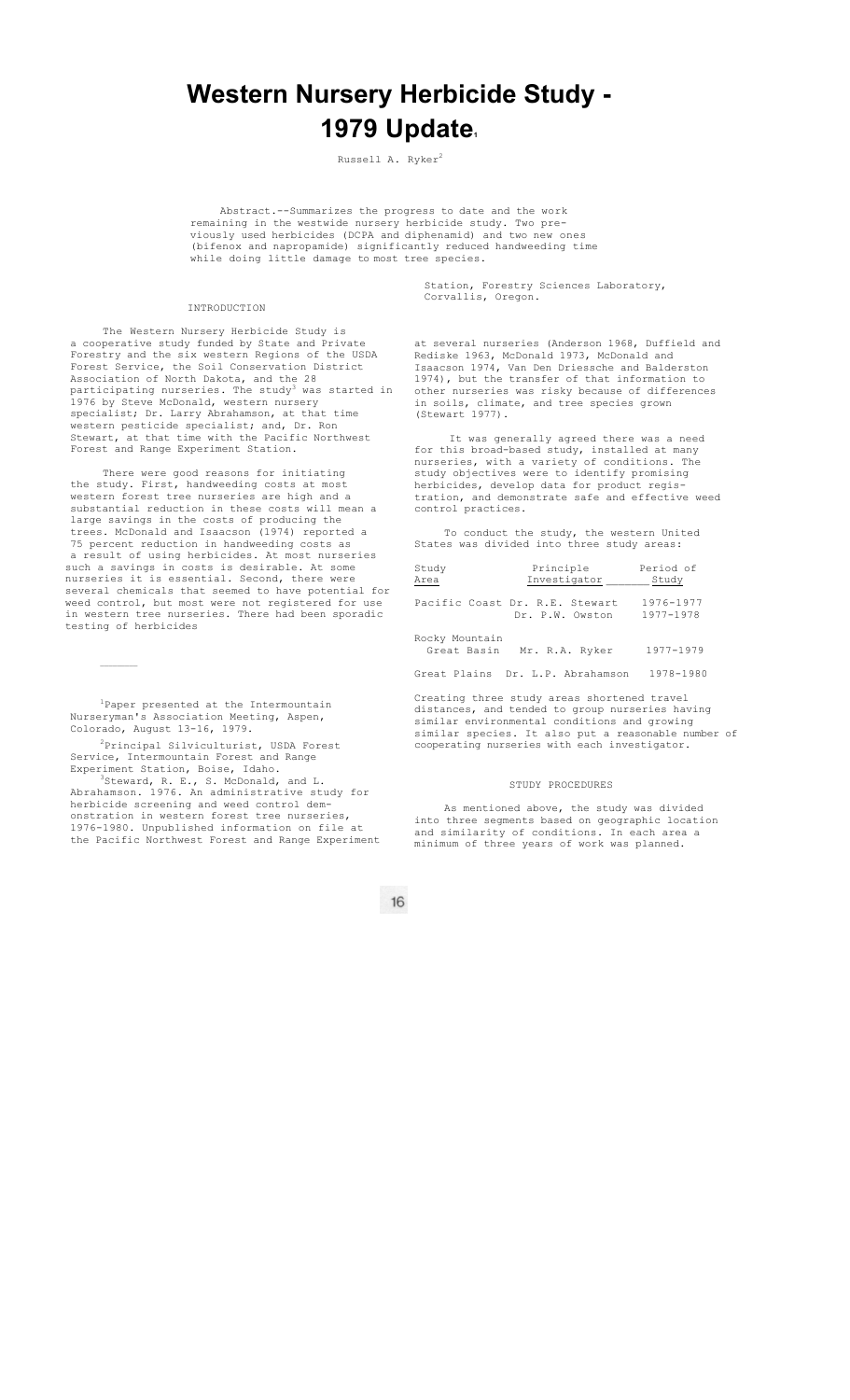# **Western Nursery Herbicide Study - 1979 Update.**

Russell A. Ryker<sup>2</sup>

Abstract.--Summarizes the progress to date and the work remaining in the westwide nursery herbicide study. Two previously used herbicides (DCPA and diphenamid) and two new ones (bifenox and napropamide) significantly reduced handweeding time while doing little damage to most tree species.

# INTRODUCTION

The Western Nursery Herbicide Study is a cooperative study funded by State and Private Forestry and the six western Regions of the USDA Forest Service, the Soil Conservation District Association of North Dakota, and the 28 participating nurseries. The study<sup>3</sup> was started in 1976 by Steve McDonald, western nursery specialist; Dr. Larry Abrahamson, at that time western pesticide specialist; and, Dr. Ron Stewart, at that time with the Pacific Northwest Forest and Range Experiment Station.

There were good reasons for initiating the study. First, handweeding costs at most western forest tree nurseries are high and a substantial reduction in these costs will mean a large savings in the costs of producing the trees. McDonald and Isaacson (1974) reported a 75 percent reduction in handweeding costs as a result of using herbicides. At most nurseries such a savings in costs is desirable. At some nurseries it is essential. Second, there were several chemicals that seemed to have potential for weed control, but most were not registered for use in western tree nurseries. There had been sporadic testing of herbicides

1 Paper presented at the Intermountain Nurseryman's Association Meeting, Aspen, Colorado, August 13-16, 1979.

 $\mathcal{L}_\text{max}$ 

2Principal Silviculturist, USDA Forest Service, Intermountain Forest and Range Experiment Station, Boise, Idaho.<br><sup>3</sup>Steward, R. E., S. McDonald, and L.

Abrahamson. 1976. An administrative study for herbicide screening and weed control demonstration in western forest tree nurseries, 1976-1980. Unpublished information on file at the Pacific Northwest Forest and Range Experiment

Station, Forestry Sciences Laboratory, Corvallis, Oregon.

at several nurseries (Anderson 1968, Duffield and Rediske 1963, McDonald 1973, McDonald and Isaacson 1974, Van Den Driessche and Balderston 1974), but the transfer of that information to other nurseries was risky because of differences in soils, climate, and tree species grown (Stewart 1977).

It was generally agreed there was a need for this broad-based study, installed at many nurseries, with a variety of conditions. The study objectives were to identify promising herbicides, develop data for product registration, and demonstrate safe and effective weed control practices.

To conduct the study, the western United States was divided into three study areas:

| Study<br>Area | Principle<br>Investigator                         | Period of<br>Study     |
|---------------|---------------------------------------------------|------------------------|
|               | Pacific Coast Dr. R.E. Stewart<br>Dr. P.W. Owston | 1976-1977<br>1977-1978 |

Rocky Mountain Mr. R.A. Ryker 1977-1979

Great Plains Dr. L.P. Abrahamson 1978-1980

Creating three study areas shortened travel distances, and tended to group nurseries having similar environmental conditions and growing similar species. It also put a reasonable number of cooperating nurseries with each investigator.

# STUDY PROCEDURES

As mentioned above, the study was divided into three segments based on geographic location and similarity of conditions. In each area a minimum of three years of work was planned.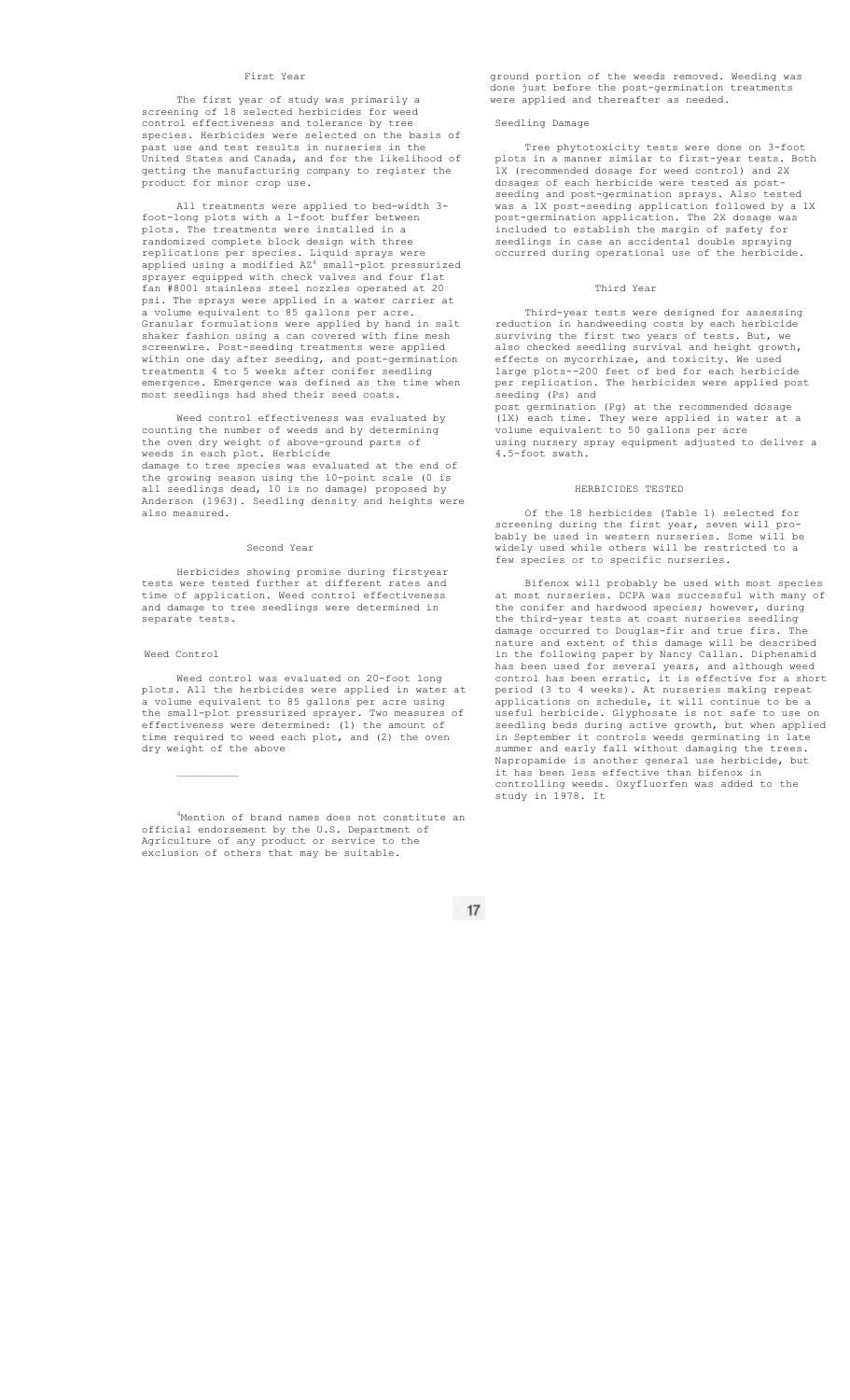# First Year

The first year of study was primarily a screening of 18 selected herbicides for weed control effectiveness and tolerance by tree species. Herbicides were selected on the basis of past use and test results in nurseries in the United States and Canada, and for the likelihood of getting the manufacturing company to register the product for minor crop use.

All treatments were applied to bed-width 3 foot-long plots with a 1-foot buffer between plots. The treatments were installed in a .<br>randomized complete block design with three replications per species. Liquid sprays were applied using a modified AZ<sup>4</sup> small-plot pressurized sprayer equipped with check valves and four flat fan #8001 stainless steel nozzles operated at 20 psi. The sprays were applied in a water carrier at a volume equivalent to 85 gallons per acre. Granular formulations were applied by hand in salt shaker fashion using a can covered with fine mesh screenwire. Post-seeding treatments were applied within one day after seeding, and post-germination treatments 4 to 5 weeks after conifer seedling emergence. Emergence was defined as the time when most seedlings had shed their seed coats.

Weed control effectiveness was evaluated by counting the number of weeds and by determining the oven dry weight of above-ground parts of weeds in each plot. Herbicide damage to tree species was evaluated at the end of the growing season using the 10-point scale (0 is all seedlings dead, 10 is no damage) proposed by Anderson (1963). Seedling density and heights were also measured.

## Second Year

Herbicides showing promise during firstyear tests were tested further at different rates and time of application. Weed control effectiveness and damage to tree seedlings were determined in separate tests.

## Weed Control

 $\mathcal{L}_\text{max}$ 

Weed control was evaluated on 20-foot long plots. All the herbicides were applied in water at a volume equivalent to 85 gallons per acre using the small-plot pressurized sprayer. Two measures of effectiveness were determined: (1) the amount of time required to weed each plot, and  $(2)$  the oven dry weight of the above

4Mention of brand names does not constitute an official endorsement by the U.S. Department of Agriculture of any product or service to the exclusion of others that may be suitable.

ground portion of the weeds removed. Weeding was done just before the post-germination treatments were applied and thereafter as needed.

# Seedling Damage

Tree phytotoxicity tests were done on 3-foot plots in a manner similar to first-year tests. Both 1X (recommended dosage for weed control) and 2X dosages of each herbicide were tested as postseeding and post-germination sprays. Also tested was a 1X post-seeding application followed by a 1X post-germination application. The 2X dosage was included to establish the margin of safety for seedlings in case an accidental double spraying occurred during operational use of the herbicide.

## Third Year

Third-year tests were designed for assessing reduction in handweeding costs by each herbicide surviving the first two years of tests. But, we also checked seedling survival and height growth, effects on mycorrhizae, and toxicity. We used large plots--200 feet of bed for each herbicide per replication. The herbicides were applied post seeding (Ps) and

post germination (Pg) at the recommended dosage (lX) each time. They were applied in water at a volume equivalent to 50 gallons per acre using nursery spray equipment adjusted to deliver a 4.5-foot swath.

# HERBICIDES TESTED

Of the 18 herbicides (Table 1) selected for screening during the first year, seven will probably be used in western nurseries. Some will be widely used while others will be restricted to a few species or to specific nurseries.

Bifenox will probably be used with most species at most nurseries. DCPA was successful with many of the conifer and hardwood species; however, during the third-year tests at coast nurseries seedling damage occurred to Douglas-fir and true firs. The nature and extent of this damage will be described in the following paper by Nancy Callan. Diphenamid has been used for several years, and although weed control has been erratic, it is effective for a short period (3 to 4 weeks). At nurseries making repeat applications on schedule, it will continue to be a useful herbicide. Glyphosate is not safe to use on seedling beds during active growth, but when applied in September it controls weeds germinating in late summer and early fall without damaging the trees. Napropamide is another general use herbicide, but it has been less effective than bifenox in controlling weeds. Oxyfluorfen was added to the study in 1978. It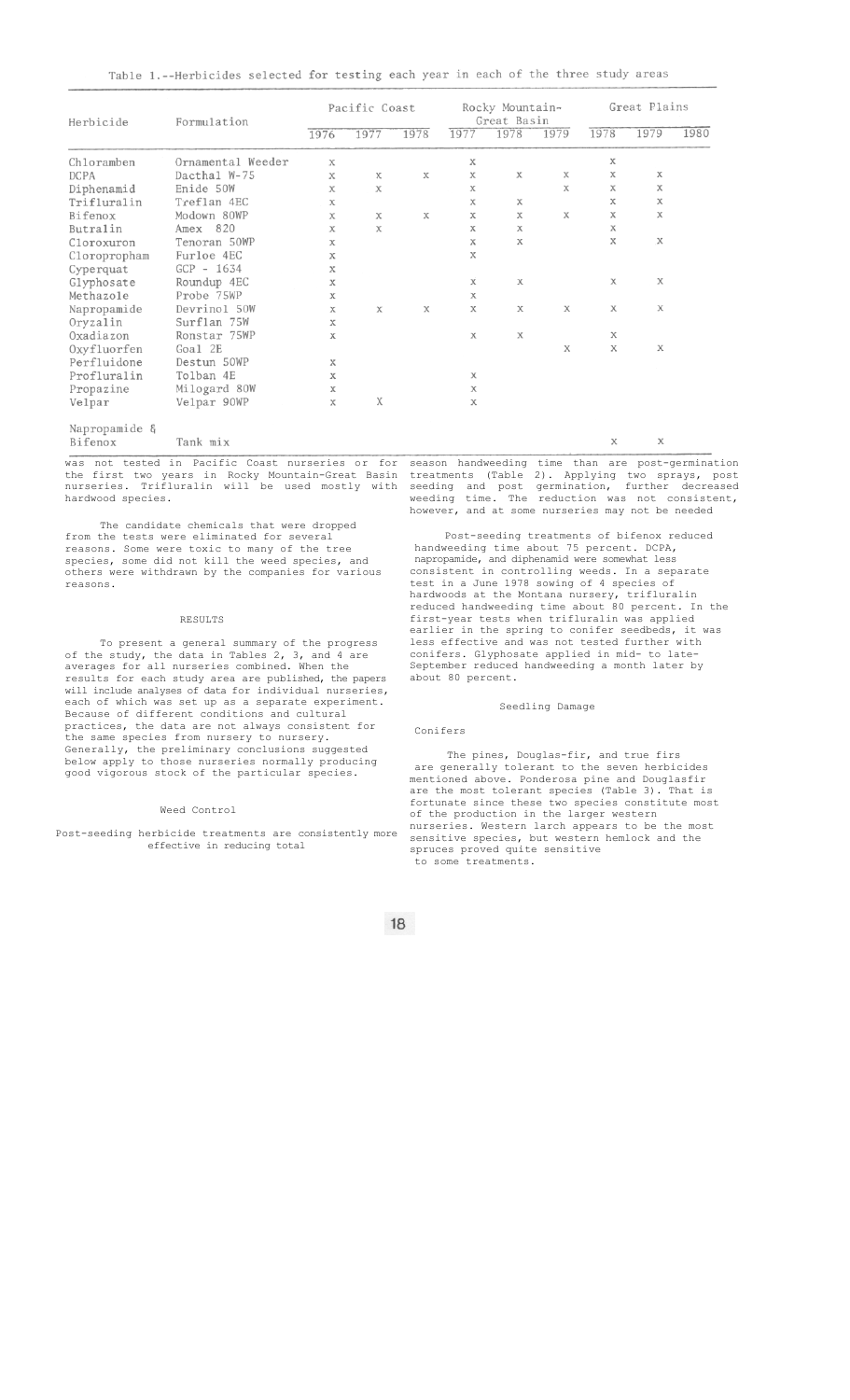| Herbicide     | Formulation       |             | Pacific Coast |             |             | Rocky Mountain-<br>Great Basin |             | Great Plains |             |      |
|---------------|-------------------|-------------|---------------|-------------|-------------|--------------------------------|-------------|--------------|-------------|------|
|               |                   | 1976        | 1977          | 1978        | 1977        | 1978                           | 1979        | 1978         | 1979        | 1980 |
| Chloramben    | Ornamental Weeder | $\mathbf X$ |               |             | Х           |                                |             | Х            |             |      |
| <b>DCPA</b>   | Dacthal W-75      | X           | X             | $\mathbf x$ | Х           | Х                              | X           | Х            | Х           |      |
| Diphenamid    | Enide 50W         | $\chi$      | Х             |             | $\mathbf x$ |                                | Х           | Х            | Х           |      |
| Trifluralin   | Treflan 4EC       | X           |               |             | $\mathbf x$ | $\mathbf x$                    |             | X            | Х           |      |
| Bifenox       | Modown 80WP       | Х           | X             | $\mathbf X$ | Х           | $\mathbf x$                    | X           | Х            | X           |      |
| Butralin      | Amex 820          | Х           | X             |             | X           | $\mathbb X$                    |             | Х            |             |      |
| Cloroxuron    | Tenoran 50WP      | Х           |               |             | х           | $\mathbf x$                    |             | X            | $\mathbf x$ |      |
| Cloropropham  | Furloe 4EC        | Х           |               |             | X           |                                |             |              |             |      |
| Cyperquat     | $GCP - 1634$      | $\mathbf x$ |               |             |             |                                |             |              |             |      |
| Glyphosate    | Roundup 4EC       | Х           |               |             | X           | $\mathbf x$                    |             | Х            | X           |      |
| Methazole     | Probe 75WP        | X           |               |             | X           |                                |             |              |             |      |
| Napropamide   | Devrinol 50W      | Х           | $\chi$        | Х           | Х           | Х                              | $\mathbf X$ | Х            | Х           |      |
| Oryzalin      | Surflan 75W       | X           |               |             |             |                                |             |              |             |      |
| Oxadiazon     | Ronstar 75WP      | $\mathbf x$ |               |             | Х           | Х                              |             | χ            |             |      |
| Oxyfluorfen   | Goal 2E           |             |               |             |             |                                | $\mathbf x$ | $\mathbf x$  | $\mathbf x$ |      |
| Perfluidone   | Destun 50WP       | X           |               |             |             |                                |             |              |             |      |
| Profluralin   | Tolban 4E         | Х           |               |             | Х           |                                |             |              |             |      |
| Propazine     | Milogard 80W      | $\mathbf x$ |               |             | х           |                                |             |              |             |      |
| Velpar        | Velpar 90WP       | X           | X             |             | $\mathbf x$ |                                |             |              |             |      |
| Napropamide & |                   |             |               |             |             |                                |             |              |             |      |
| Bifenox       | Tank mix          |             |               |             |             |                                |             | Х            | Х           |      |

the first two years in Rocky Mountain-Great Basin nurseries. Trifluralin will be used mostly with hardwood species.

The candidate chemicals that were dropped from the tests were eliminated for several reasons. Some were toxic to many of the tree species, some did not kill the weed species, and others were withdrawn by the companies for various reasons.

## RESULTS

To present a general summary of the progress of the study, the data in Tables 2, 3, and 4 are averages for all nurseries combined. When the results for each study area are published, the papers will include analyses of data for individual nurseries, each of which was set up as a separate experiment. Because of different conditions and cultural practices, the data are not always consistent for the same species from nursery to nursery. Generally, the preliminary conclusions suggested below apply to those nurseries normally producing good vigorous stock of the particular species.

## Weed Control

Post-seeding herbicide treatments are consistently more effective in reducing total

 was not tested in Pacific Coast nurseries or for season handweeding time than are post-germination treatments (Table 2). Applying two sprays, post seeding and post germination, further decreased weeding time. The reduction was not consistent, however, and at some nurseries may not be needed

> Post-seeding treatments of bifenox reduced handweeding time about 75 percent. DCPA, napropamide, and diphenamid were somewhat less consistent in controlling weeds. In a separate test in a June 1978 sowing of 4 species of hardwoods at the Montana nursery, trifluralin reduced handweeding time about 80 percent. In the first-year tests when trifluralin was applied earlier in the spring to conifer seedbeds, it was less effective and was not tested further with conifers. Glyphosate applied in mid- to late-September reduced handweeding a month later by about 80 percent.

## Seedling Damage

Conifers

The pines, Douglas-fir, and true firs are generally tolerant to the seven herbicides mentioned above. Ponderosa pine and Douglasfir are the most tolerant species (Table 3). That is fortunate since these two species constitute most of the production in the larger western nurseries. Western larch appears to be the most sensitive species, but western hemlock and the spruces proved quite sensitive to some treatments.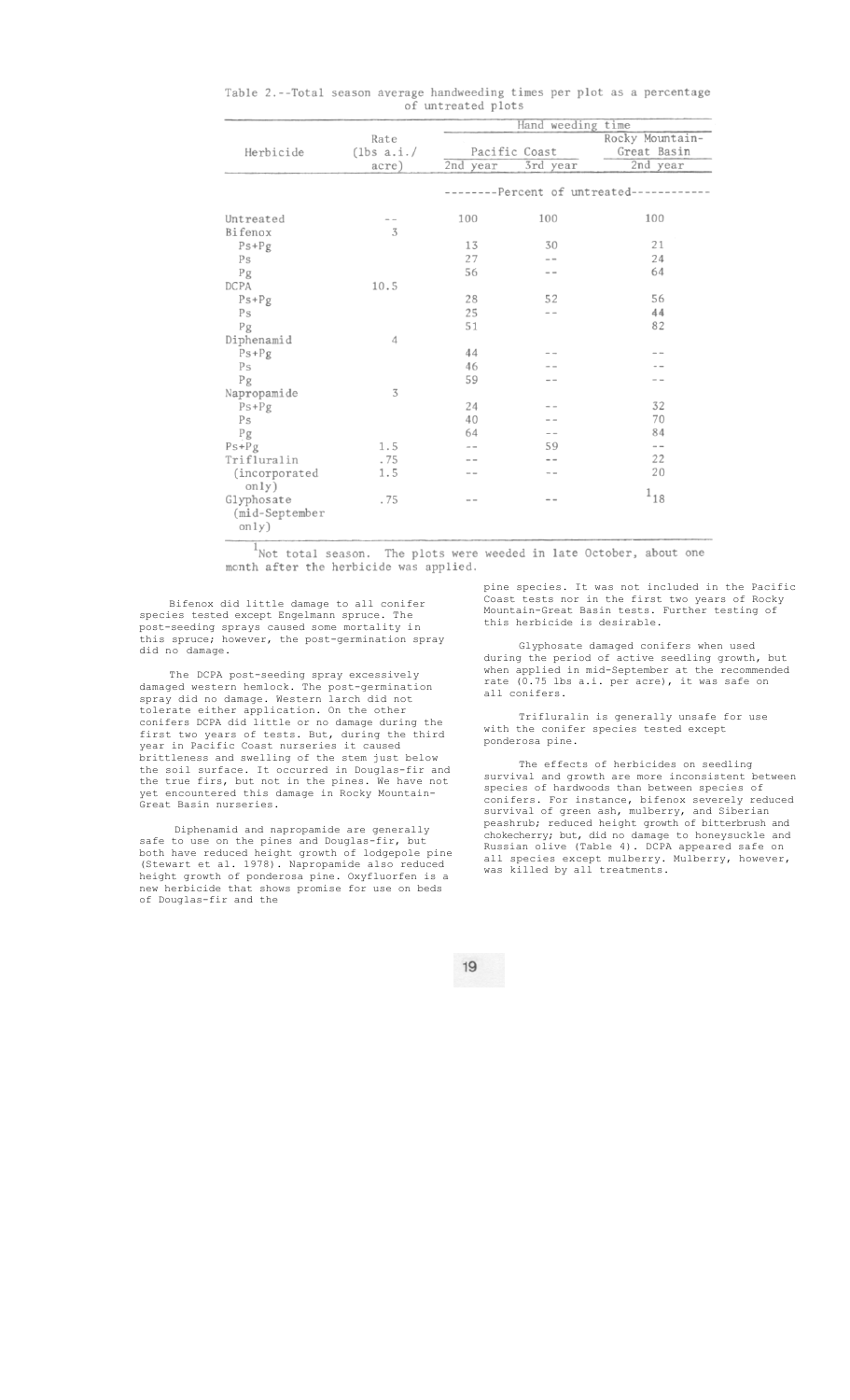|  |  | Table 2.--Total season average handweeding times per plot as a percentage |  |  |  |
|--|--|---------------------------------------------------------------------------|--|--|--|
|  |  | of untreated plots                                                        |  |  |  |

|                                       |                       | Hand weeding time |               |                                     |  |  |  |  |  |
|---------------------------------------|-----------------------|-------------------|---------------|-------------------------------------|--|--|--|--|--|
|                                       | Rate                  |                   |               | Rocky Mountain-                     |  |  |  |  |  |
| Herbicide                             | $(\text{lbs } a.i. /$ |                   | Pacific Coast | Great Basin                         |  |  |  |  |  |
|                                       | acre)                 | 2nd year          | 3rd year      | 2nd year                            |  |  |  |  |  |
|                                       |                       |                   |               | --------Percent of untreated------- |  |  |  |  |  |
| Untreated                             |                       | 100               | 100           | 100                                 |  |  |  |  |  |
| Bifenox                               | 3                     |                   |               |                                     |  |  |  |  |  |
| $Ps + Pg$                             |                       | 13                | 30            | 21                                  |  |  |  |  |  |
| Ps                                    |                       | 27                | - -           | 24                                  |  |  |  |  |  |
| Pg                                    |                       | 56                |               | 64                                  |  |  |  |  |  |
| <b>DCPA</b>                           | 10.5                  |                   |               |                                     |  |  |  |  |  |
| $Ps + Pg$                             |                       | 28                | 52            | 56                                  |  |  |  |  |  |
| Ps                                    |                       | 25                | $ -$          | 44                                  |  |  |  |  |  |
| Pg                                    |                       | 51                |               | 82                                  |  |  |  |  |  |
| Diphenamid                            | $\overline{4}$        |                   |               |                                     |  |  |  |  |  |
| $Ps + Pg$                             |                       | 44                |               |                                     |  |  |  |  |  |
| Ps                                    |                       | 46                |               |                                     |  |  |  |  |  |
| Pg                                    |                       | 59                |               |                                     |  |  |  |  |  |
| Napropamide                           | 3                     |                   |               |                                     |  |  |  |  |  |
| $Ps + Pg$                             |                       | 24                |               | 32                                  |  |  |  |  |  |
| Ps                                    |                       | 40                |               | 70                                  |  |  |  |  |  |
| Pg                                    |                       | 64                | - -           | 84                                  |  |  |  |  |  |
| $Ps+Pg$                               | 1.5                   |                   | 59            | $=$ $-$                             |  |  |  |  |  |
| Trifluralin                           | .75                   |                   |               | 22                                  |  |  |  |  |  |
| (incorporated<br>only)                | 1.5                   |                   | - -           | 20                                  |  |  |  |  |  |
| Glyphosate<br>(mid-September<br>only) | .75                   | - -               | - -           | $^{1}$ 18                           |  |  |  |  |  |

Not total season. The plots were weeded in late October, about one month after the herbicide was applied.

Bifenox did little damage to all conifer species tested except Engelmann spruce. The post-seeding sprays caused some mortality in this spruce; however, the post-germination spray did no damage.

The DCPA post-seeding spray excessively damaged western hemlock. The post-germination spray did no damage. Western larch did not tolerate either application. On the other conifers DCPA did little or no damage during the first two years of tests. But, during the third year in Pacific Coast nurseries it caused brittleness and swelling of the stem just below the soil surface. It occurred in Douglas-fir and the true firs, but not in the pines. We have not yet encountered this damage in Rocky Mountain-Great Basin nurseries.

Diphenamid and napropamide are generally safe to use on the pines and Douglas-fir, but both have reduced height growth of lodgepole pine (Stewart et al. 1978). Napropamide also reduced height growth of ponderosa pine. Oxyfluorfen is a new herbicide that shows promise for use on beds of Douglas-fir and the

pine species. It was not included in the Pacific Coast tests nor in the first two years of Rocky Mountain-Great Basin tests. Further testing of this herbicide is desirable.

Glyphosate damaged conifers when used during the period of active seedling growth, but when applied in mid-September at the recommended rate (0.75 lbs a.i. per acre), it was safe on all conifers.

Trifluralin is generally unsafe for use with the conifer species tested except ponderosa pine.

The effects of herbicides on seedling survival and growth are more inconsistent between species of hardwoods than between species of conifers. For instance, bifenox severely reduced survival of green ash, mulberry, and Siberian peashrub; reduced height growth of bitterbrush and chokecherry; but, did no damage to honeysuckle and Russian olive (Table 4). DCPA appeared safe on all species except mulberry. Mulberry, however, was killed by all treatments.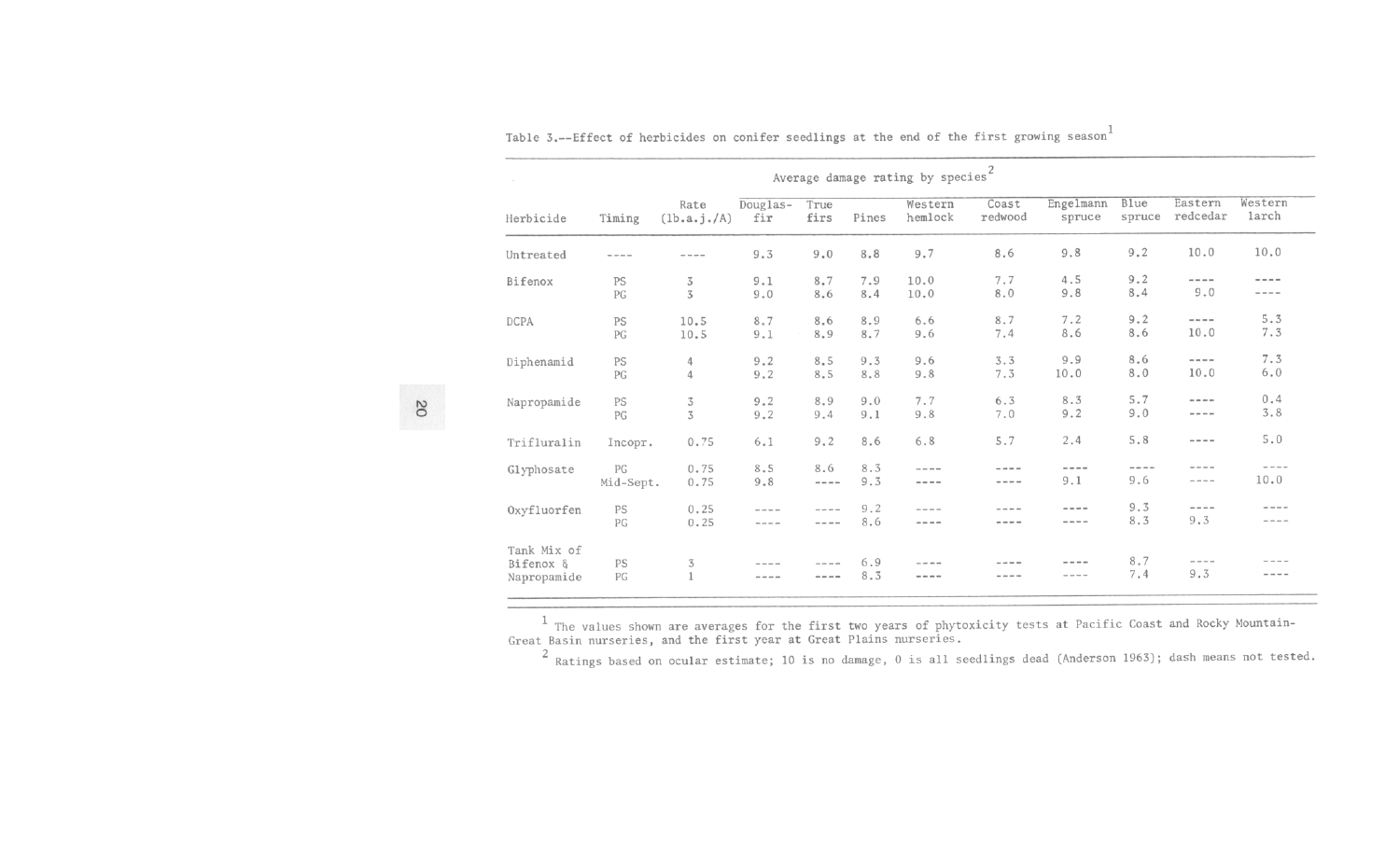|                                         |                 |                                  |                          |                                            | Average damage rating by species <sup>2</sup> |                                                     |                     |                     |                |                                |                        |
|-----------------------------------------|-----------------|----------------------------------|--------------------------|--------------------------------------------|-----------------------------------------------|-----------------------------------------------------|---------------------|---------------------|----------------|--------------------------------|------------------------|
| Herbicide                               | Timing          | Rate<br>(lb.a.j./A)              | Douglas-<br>fir          | True<br>firs                               | Pines                                         | Western<br>hemlock                                  | Coast<br>redwood    | Engelmann<br>spruce | Blue<br>spruce | Eastern<br>redcedar            | Western<br>larch       |
| Untreated                               | $- - - - -$     | $\cdots \cdots \cdots$           | 9.3                      | 9.0                                        | 8.8                                           | 9.7                                                 | 8.6                 | 9.8                 | 9.2            | 10.0                           | 10.0                   |
| Bifenox                                 | PS<br>PG        | $\sqrt{3}$<br>$\sqrt{3}$         | 9.1<br>9.0               | 8.7<br>8.6                                 | 7.9<br>8.4                                    | 10.0<br>10.0                                        | 7.7<br>8.0          | 4.5<br>9.8          | 9.2<br>8.4     | $\cdots\cdots\cdots$<br>9.0    | ----<br>----           |
| <b>DCPA</b>                             | PS<br>PG        | 10.5<br>10.5                     | 8.7<br>9.1               | 8.6<br>8.9                                 | 8.9<br>8.7                                    | 6.6<br>9.6                                          | 8.7<br>7.4          | 7.2<br>8.6          | 9.2<br>8.6     | $\cdots$<br>10.0               | 5.3<br>7.3             |
| Diphenamid                              | PS<br>PG        | $\overline{4}$<br>$\overline{4}$ | 9.2<br>9.2               | 8.5<br>8.5                                 | 9.3<br>8.8                                    | 9.6<br>9.8                                          | 3.3<br>7.3          | 9.9<br>10.0         | 8.6<br>8.0     | $\cdots \cdots \cdots$<br>10.0 | 7.3<br>6.0             |
| Napropamide                             | PS<br>PG        | 3<br>$\overline{3}$              | 9.2<br>9.2               | 8.9<br>9.4                                 | 9.0<br>9.1                                    | 7.7<br>$9.8\,$                                      | 6.3<br>7.0          | 8.3<br>9.2          | 5.7<br>9.0     | $\cdots$<br>$- - - - -$        | 0.4<br>3.8             |
| Trifluralin                             | Incopr.         | 0.75                             | 6.1                      | 9.2                                        | 8.6                                           | 6.8                                                 | 5.7                 | 2.4                 | 5.8            | $\sim$ $ -$                    | 5.0                    |
| Glyphosate                              | PG<br>Mid-Sept. | 0.75<br>0.75                     | 8.5<br>9.8               | 8.6<br>$\cdots$                            | 8.3<br>9.3                                    | $\cdots \; \cdots \; \cdots \; \cdots$<br>$--- - -$ | ----<br>$- - - - -$ | $- - - -$<br>9.1    | ----<br>9.6    | ----<br>----                   | $- - - - -$<br>10.0    |
| Oxyfluorfen                             | PS<br>PG        | 0.25<br>0.25                     | $- - - - -$<br>$- - - -$ | $\sim$ $ \sim$ $\sim$<br>$- - - - -$       | 9.2<br>8.6                                    | $- - - -$<br>$\cdots \cdots \cdots$                 | ----<br>$- - - -$   | ----<br>----        | 9.3<br>8.3     | $- - - -$<br>9.3               | $\cdots \cdots \cdots$ |
| Tank Mix of<br>Bifenox &<br>Napropamide | PS<br>PG        | 3<br>$\mathbf{1}$                | ----<br>----             | $\cdots \cdots \cdots \cdots$<br>$- - - -$ | 6.9<br>8.3                                    | $- - - - -$<br>----                                 | ----<br>----        | ----<br>$- - - -$   | 8.7<br>7.4     | ----<br>9.3                    | ----                   |

Table 3.--Effect of herbicides on conifer seedlings at the end of the first growing season<sup>1</sup>

 $\frac{1}{2}$  The values shown are averages for the first two years of phytoxicity tests at Pacific Coast and Rocky Mountain-Great Basin nurseries, and the first year at Great Plains nurseries.

<sup>2</sup> Ratings based on ocular estimate; 10 is no damage, 0 is all seedlings dead (Anderson 1963); dash means not tested.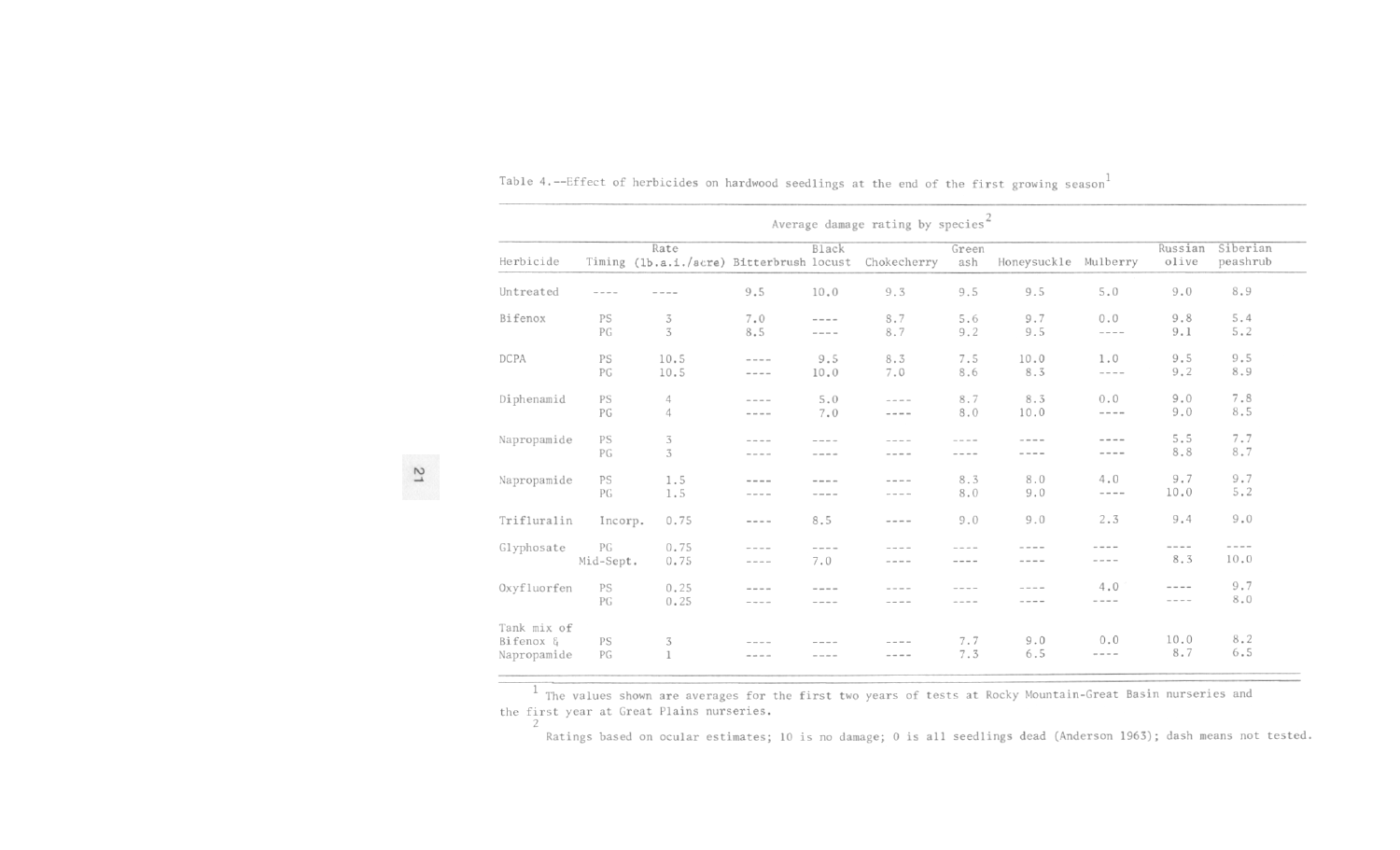| Average damage rating by species <sup>2</sup> |                 |                                                  |                                     |                               |              |                     |                        |                                  |                  |                      |
|-----------------------------------------------|-----------------|--------------------------------------------------|-------------------------------------|-------------------------------|--------------|---------------------|------------------------|----------------------------------|------------------|----------------------|
| Herbicide                                     |                 | Rate<br>Timing (1b.a.i./acre) Bitterbrush locust |                                     | Black                         | Chokecherry  | Green<br>ash        | Honeysuckle            | Mulberry                         | Russian<br>olive | Siberian<br>peashrub |
| Untreated                                     | $- - - -$       | ----                                             | 9.5                                 | 10.0                          | 9.3          | 9.5                 | 9.5                    | 5.0                              | 9.0              | 8.9                  |
| Bifenox                                       | PS              | 3                                                | 7.0                                 | $\cdots \cdots \cdots \cdots$ | 8.7          | 5.6                 | 9.7                    | 0.0                              | 9.8              | 5.4                  |
|                                               | PG              | 3                                                | 8.5                                 | $- - - - - -$                 | 8.7          | 9.2                 | 9.5                    | $\cdots \, - \, - \, \cdots$     | 9.1              | 5.2                  |
| <b>DCPA</b>                                   | PS              | 10.5                                             | $\cdots \cdots \cdots \cdots$       | 9.5                           | 8.3          | 7.5                 | 10.0                   | 1.0                              | 9.5              | 9.5                  |
|                                               | PG              | 10.5                                             | $\cdots\cdots\cdots$                | 10.0                          | 7.0          | 8.6                 | 8.3                    | $--- - -$                        | 9.2              | 8.9                  |
| Diphenamid                                    | PS              | 4                                                | $- - - -$                           | 5.0                           | $- - - -$    | 8.7                 | 8.3                    | 0.0                              | 9.0              | 7.8                  |
|                                               | PG              | 4                                                | $\qquad \qquad - \qquad - \qquad -$ | 7.0                           | $  -$        | 8.0                 | 10.0                   | $\cdots\ \cdots\ \cdots\ \cdots$ | 9.0              | 8.5                  |
| Napropamide                                   | PS              | 3                                                | $\cdots$                            | $- - - - -$                   | ----         | ----                | ----                   | $- - - -$                        | 5.5              | 7.7                  |
|                                               | PG              | 3                                                | $- - - - -$                         | $- - - -$                     | ----         | ----                | ----                   | $\cdots \, - \, - \, -$          | 8.8              | 8.7                  |
| Napropamide                                   | PS              | 1.5                                              | ----                                | ----                          | $- - - -$    | 8.3                 | 8.0                    | 4.0                              | 9.7              | 9.7                  |
|                                               | PG              | 1.5                                              | $\cdots\; \cdots\; \cdots\; \cdots$ | $- - - - -$                   | $- - - -$    | 8.0                 | 9.0                    | $\cdots \cdots \cdots$           | 10.0             | 5.2                  |
| Trifluralin                                   | Incorp.         | 0.75                                             | $- - - -$                           | 8.5                           | $- - - -$    | 9.0                 | 9.0                    | 2.3                              | 9.4              | 9.0                  |
| Glyphosate                                    | PG<br>Mid-Sept. | 0.75<br>0.75                                     | ----<br>$\cdots \cdots \cdots$      | $--- - -$<br>7.0              | ----<br>---- | ----<br>$- - - - -$ | $- - - -$<br>$- - - -$ | ----                             | ----<br>8.3      | $- - - -$<br>10.0    |
| Oxyfluorfen                                   | PS              | 0.25                                             | ----                                | ----                          | $- - - -$    | ----                | ----                   | 4.0                              | $- - - -$        | 9.7                  |
|                                               | PG              | 0.25                                             | $- - - - -$                         | $- - - - -$                   | $- - - - -$  | $- - - -$           | $- - - -$              | $- - - -$                        | $- - - -$        | 8.0                  |
| Tank mix of<br>Bifenox &<br>Napropamide       | PS<br>PG        | 3                                                | ----                                | ----                          | $- - - - -$  | 7.7<br>7.3          | 9.0<br>6.5             | 0.0<br>$\cdots = - -$            | 10.0<br>8.7      | 8.2<br>6.5           |

Table 4.--Effect of herbicides on hardwood seedlings at the end of the first growing season

21

<sup>1</sup> The values shown are averages for the first two years of tests at Rocky Mountain-Great Basin nurseries and the first year at Great Plains nurseries.<br> $\frac{2}{3}$ 

Ratings based on ocular estimates; 10 is no damage; 0 is all seedlings dead (Anderson 1963); dash means not tested.